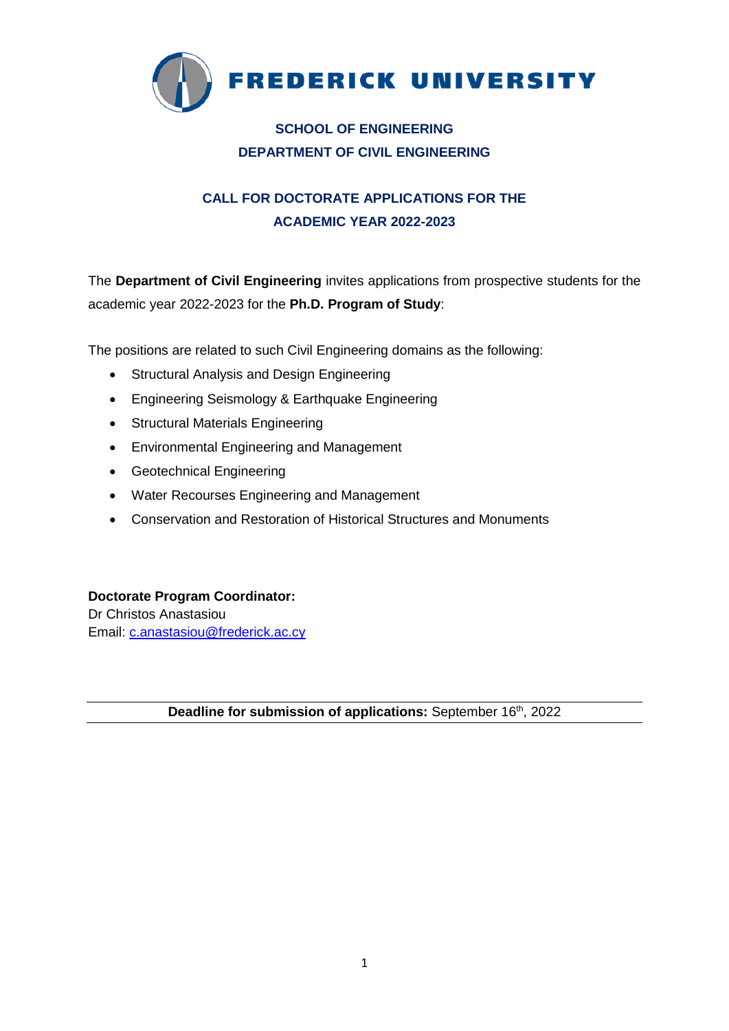

## **SCHOOL OF ENGINEERING DEPARTMENT OF CIVIL ENGINEERING**

# **CALL FOR DOCTORATE APPLICATIONS FOR THE ACADEMIC YEAR 2022-2023**

The **Department of Civil Engineering** invites applications from prospective students for the academic year 2022-2023 for the **Ph.D. Program of Study**:

The positions are related to such Civil Engineering domains as the following:

- Structural Analysis and Design Engineering
- Engineering Seismology & Earthquake Engineering
- Structural Materials Engineering
- Environmental Engineering and Management
- Geotechnical Engineering
- Water Recourses Engineering and Management
- Conservation and Restoration of Historical Structures and Monuments

**Doctorate Program Coordinator:** Dr Christos Anastasiou Email: [c.anastasiou@frederick.ac.cy](mailto:c.anastasiou@frederick.ac.cy)

Deadline for submission of applications: September 16<sup>th</sup>, 2022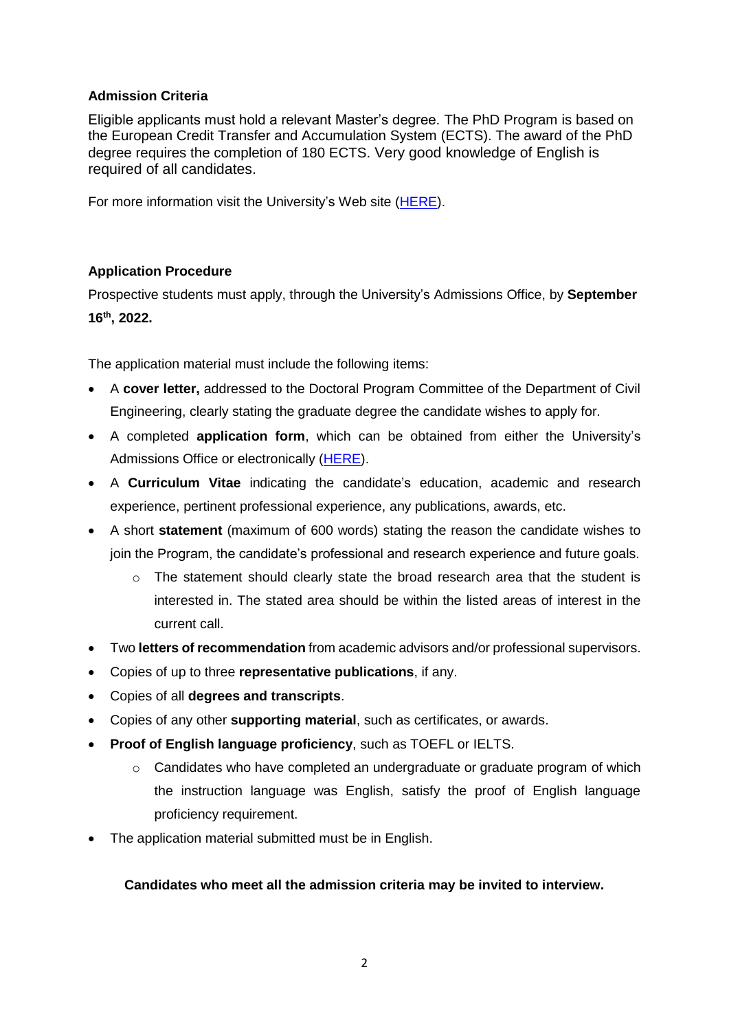### **Admission Criteria**

Eligible applicants must hold a relevant Master's degree. The PhD Program is based on the European Credit Transfer and Accumulation System (ECTS). The award of the PhD degree requires the completion of 180 ECTS. Very good knowledge of English is required of all candidates.

For more information visit the University's Web site [\(HERE\)](http://www.frederick.ac.cy/doctoral/).

## **Application Procedure**

Prospective students must apply, through the University's Admissions Office, by **September 16th , 2022.**

The application material must include the following items:

- A **cover letter,** addressed to the Doctoral Program Committee of the Department of Civil Engineering, clearly stating the graduate degree the candidate wishes to apply for.
- A completed **application form**, which can be obtained from either the University's Admissions Office or electronically [\(HERE\)](http://www.frederick.ac.cy/fu_documents/application_form.pdf).
- A **Curriculum Vitae** indicating the candidate's education, academic and research experience, pertinent professional experience, any publications, awards, etc.
- A short **statement** (maximum of 600 words) stating the reason the candidate wishes to join the Program, the candidate's professional and research experience and future goals.
	- $\circ$  The statement should clearly state the broad research area that the student is interested in. The stated area should be within the listed areas of interest in the current call.
- Two **letters of recommendation** from academic advisors and/or professional supervisors.
- Copies of up to three **representative publications**, if any.
- Copies of all **degrees and transcripts**.
- Copies of any other **supporting material**, such as certificates, or awards.
- **Proof of English language proficiency**, such as TOEFL or IELTS.
	- $\circ$  Candidates who have completed an undergraduate or graduate program of which the instruction language was English, satisfy the proof of English language proficiency requirement.
- The application material submitted must be in English.

## **Candidates who meet all the admission criteria may be invited to interview.**